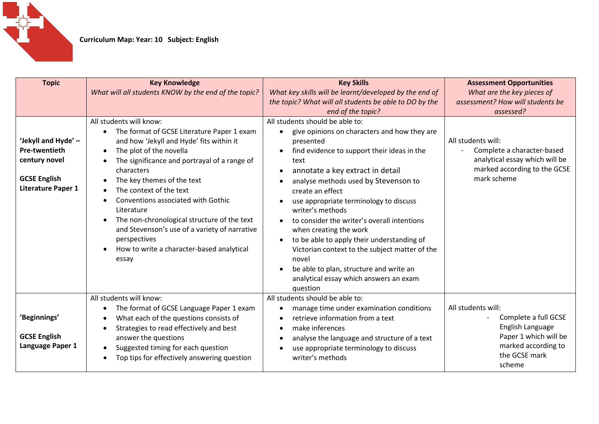

| <b>Topic</b>                                                                                              | <b>Key Knowledge</b><br>What will all students KNOW by the end of the topic?                                                                                                                                                                                                                                                                                                                                                                                                                  | <b>Key Skills</b><br>What key skills will be learnt/developed by the end of<br>the topic? What will all students be able to DO by the<br>end of the topic?                                                                                                                                                                                                                                                                                                                                                                                                                                                                                                            | <b>Assessment Opportunities</b><br>What are the key pieces of<br>assessment? How will students be<br>assessed?                            |
|-----------------------------------------------------------------------------------------------------------|-----------------------------------------------------------------------------------------------------------------------------------------------------------------------------------------------------------------------------------------------------------------------------------------------------------------------------------------------------------------------------------------------------------------------------------------------------------------------------------------------|-----------------------------------------------------------------------------------------------------------------------------------------------------------------------------------------------------------------------------------------------------------------------------------------------------------------------------------------------------------------------------------------------------------------------------------------------------------------------------------------------------------------------------------------------------------------------------------------------------------------------------------------------------------------------|-------------------------------------------------------------------------------------------------------------------------------------------|
| 'Jekyll and Hyde' -<br>Pre-twentieth<br>century novel<br><b>GCSE English</b><br><b>Literature Paper 1</b> | All students will know:<br>The format of GCSE Literature Paper 1 exam<br>and how 'Jekyll and Hyde' fits within it<br>The plot of the novella<br>The significance and portrayal of a range of<br>characters<br>The key themes of the text<br>The context of the text<br>Conventions associated with Gothic<br>Literature<br>The non-chronological structure of the text<br>and Stevenson's use of a variety of narrative<br>perspectives<br>How to write a character-based analytical<br>essay | All students should be able to:<br>give opinions on characters and how they are<br>$\bullet$<br>presented<br>find evidence to support their ideas in the<br>$\bullet$<br>text<br>annotate a key extract in detail<br>$\bullet$<br>analyse methods used by Stevenson to<br>$\bullet$<br>create an effect<br>use appropriate terminology to discuss<br>writer's methods<br>to consider the writer's overall intentions<br>when creating the work<br>to be able to apply their understanding of<br>$\bullet$<br>Victorian context to the subject matter of the<br>novel<br>be able to plan, structure and write an<br>analytical essay which answers an exam<br>question | All students will:<br>Complete a character-based<br>analytical essay which will be<br>marked according to the GCSE<br>mark scheme         |
| 'Beginnings'<br><b>GCSE English</b><br>Language Paper 1                                                   | All students will know:<br>The format of GCSE Language Paper 1 exam<br>What each of the questions consists of<br>Strategies to read effectively and best<br>answer the questions<br>Suggested timing for each question<br>Top tips for effectively answering question                                                                                                                                                                                                                         | All students should be able to:<br>manage time under examination conditions<br>retrieve information from a text<br>make inferences<br>analyse the language and structure of a text<br>$\bullet$<br>use appropriate terminology to discuss<br>writer's methods                                                                                                                                                                                                                                                                                                                                                                                                         | All students will:<br>Complete a full GCSE<br>English Language<br>Paper 1 which will be<br>marked according to<br>the GCSE mark<br>scheme |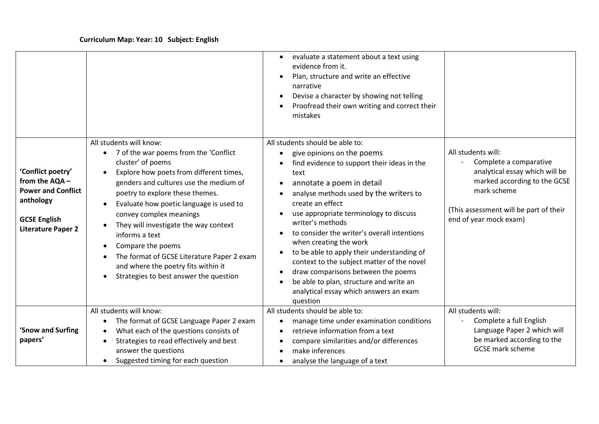|                                                                                                                                   |                                                                                                                                                                                                                                                                                                                                                                                                                                                                                                    | evaluate a statement about a text using<br>$\bullet$<br>evidence from it.<br>Plan, structure and write an effective<br>narrative<br>Devise a character by showing not telling<br>Proofread their own writing and correct their<br>mistakes                                                                                                                                                                                                                                                                                                                                                             |                                                                                                                                                                                                   |
|-----------------------------------------------------------------------------------------------------------------------------------|----------------------------------------------------------------------------------------------------------------------------------------------------------------------------------------------------------------------------------------------------------------------------------------------------------------------------------------------------------------------------------------------------------------------------------------------------------------------------------------------------|--------------------------------------------------------------------------------------------------------------------------------------------------------------------------------------------------------------------------------------------------------------------------------------------------------------------------------------------------------------------------------------------------------------------------------------------------------------------------------------------------------------------------------------------------------------------------------------------------------|---------------------------------------------------------------------------------------------------------------------------------------------------------------------------------------------------|
| 'Conflict poetry'<br>from the AQA -<br><b>Power and Conflict</b><br>anthology<br><b>GCSE English</b><br><b>Literature Paper 2</b> | All students will know:<br>7 of the war poems from the 'Conflict<br>cluster' of poems<br>Explore how poets from different times,<br>genders and cultures use the medium of<br>poetry to explore these themes.<br>Evaluate how poetic language is used to<br>convey complex meanings<br>They will investigate the way context<br>informs a text<br>Compare the poems<br>The format of GCSE Literature Paper 2 exam<br>and where the poetry fits within it<br>Strategies to best answer the question | All students should be able to:<br>give opinions on the poems<br>find evidence to support their ideas in the<br>text<br>annotate a poem in detail<br>analyse methods used by the writers to<br>create an effect<br>use appropriate terminology to discuss<br>writer's methods<br>to consider the writer's overall intentions<br>when creating the work<br>to be able to apply their understanding of<br>context to the subject matter of the novel<br>draw comparisons between the poems<br>$\bullet$<br>be able to plan, structure and write an<br>analytical essay which answers an exam<br>question | All students will:<br>Complete a comparative<br>analytical essay which will be<br>marked according to the GCSE<br>mark scheme<br>(This assessment will be part of their<br>end of year mock exam) |
| 'Snow and Surfing<br>papers'                                                                                                      | All students will know:<br>The format of GCSE Language Paper 2 exam<br>What each of the questions consists of<br>Strategies to read effectively and best<br>answer the questions<br>Suggested timing for each question                                                                                                                                                                                                                                                                             | All students should be able to:<br>manage time under examination conditions<br>retrieve information from a text<br>compare similarities and/or differences<br>make inferences<br>analyse the language of a text<br>$\bullet$                                                                                                                                                                                                                                                                                                                                                                           | All students will:<br>Complete a full English<br>Language Paper 2 which will<br>be marked according to the<br><b>GCSE</b> mark scheme                                                             |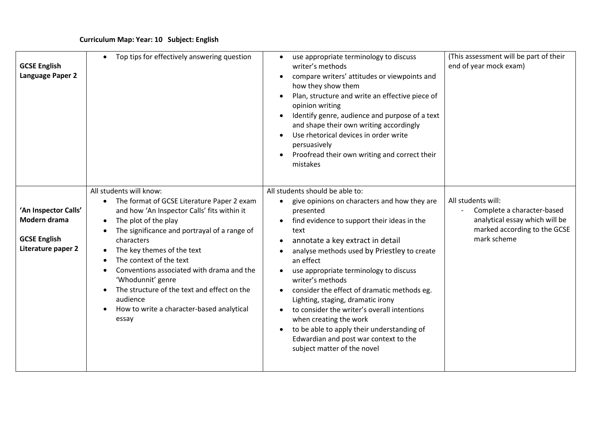| <b>GCSE English</b><br>Language Paper 2                                           | Top tips for effectively answering question<br>$\bullet$                                                                                                                                                                                                                                                                                                                                                                                                                         | use appropriate terminology to discuss<br>writer's methods<br>compare writers' attitudes or viewpoints and<br>how they show them<br>Plan, structure and write an effective piece of<br>opinion writing<br>Identify genre, audience and purpose of a text<br>and shape their own writing accordingly<br>Use rhetorical devices in order write<br>persuasively<br>Proofread their own writing and correct their<br>mistakes                                                                                                                                                                                                      | (This assessment will be part of their<br>end of year mock exam)                                                                  |
|-----------------------------------------------------------------------------------|----------------------------------------------------------------------------------------------------------------------------------------------------------------------------------------------------------------------------------------------------------------------------------------------------------------------------------------------------------------------------------------------------------------------------------------------------------------------------------|--------------------------------------------------------------------------------------------------------------------------------------------------------------------------------------------------------------------------------------------------------------------------------------------------------------------------------------------------------------------------------------------------------------------------------------------------------------------------------------------------------------------------------------------------------------------------------------------------------------------------------|-----------------------------------------------------------------------------------------------------------------------------------|
| 'An Inspector Calls'<br>Modern drama<br><b>GCSE English</b><br>Literature paper 2 | All students will know:<br>The format of GCSE Literature Paper 2 exam<br>$\bullet$<br>and how 'An Inspector Calls' fits within it<br>The plot of the play<br>$\bullet$<br>The significance and portrayal of a range of<br>characters<br>The key themes of the text<br>The context of the text<br>Conventions associated with drama and the<br>'Whodunnit' genre<br>The structure of the text and effect on the<br>audience<br>How to write a character-based analytical<br>essay | All students should be able to:<br>give opinions on characters and how they are<br>$\bullet$<br>presented<br>find evidence to support their ideas in the<br>text<br>annotate a key extract in detail<br>$\bullet$<br>analyse methods used by Priestley to create<br>an effect<br>use appropriate terminology to discuss<br>writer's methods<br>consider the effect of dramatic methods eg.<br>Lighting, staging, dramatic irony<br>to consider the writer's overall intentions<br>when creating the work<br>to be able to apply their understanding of<br>Edwardian and post war context to the<br>subject matter of the novel | All students will:<br>Complete a character-based<br>analytical essay which will be<br>marked according to the GCSE<br>mark scheme |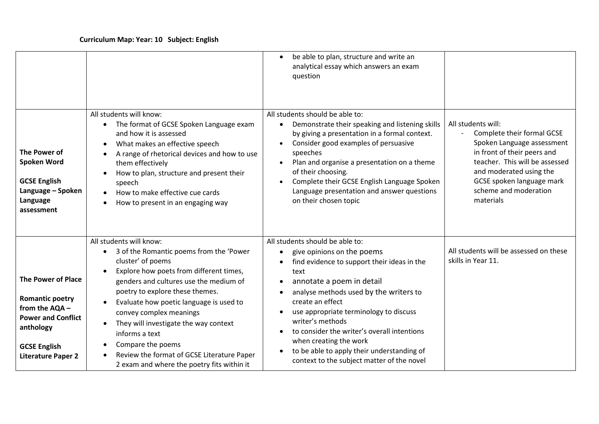|                                                                                                                                                                     |                                                                                                                                                                                                                                                                                                                                                                                                                                                                                | be able to plan, structure and write an<br>$\bullet$<br>analytical essay which answers an exam<br>question                                                                                                                                                                                                                                                                                                                                                                                                          |                                                                                                                                                                                                                                               |
|---------------------------------------------------------------------------------------------------------------------------------------------------------------------|--------------------------------------------------------------------------------------------------------------------------------------------------------------------------------------------------------------------------------------------------------------------------------------------------------------------------------------------------------------------------------------------------------------------------------------------------------------------------------|---------------------------------------------------------------------------------------------------------------------------------------------------------------------------------------------------------------------------------------------------------------------------------------------------------------------------------------------------------------------------------------------------------------------------------------------------------------------------------------------------------------------|-----------------------------------------------------------------------------------------------------------------------------------------------------------------------------------------------------------------------------------------------|
| The Power of<br>Spoken Word<br><b>GCSE English</b><br>Language - Spoken<br>Language<br>assessment                                                                   | All students will know:<br>• The format of GCSE Spoken Language exam<br>and how it is assessed<br>What makes an effective speech<br>A range of rhetorical devices and how to use<br>them effectively<br>How to plan, structure and present their<br>speech<br>How to make effective cue cards<br>How to present in an engaging way                                                                                                                                             | All students should be able to:<br>Demonstrate their speaking and listening skills<br>$\bullet$<br>by giving a presentation in a formal context.<br>Consider good examples of persuasive<br>$\bullet$<br>speeches<br>Plan and organise a presentation on a theme<br>$\bullet$<br>of their choosing.<br>Complete their GCSE English Language Spoken<br>Language presentation and answer questions<br>on their chosen topic                                                                                           | All students will:<br>Complete their formal GCSE<br>Spoken Language assessment<br>in front of their peers and<br>teacher. This will be assessed<br>and moderated using the<br>GCSE spoken language mark<br>scheme and moderation<br>materials |
| <b>The Power of Place</b><br><b>Romantic poetry</b><br>from the AQA -<br><b>Power and Conflict</b><br>anthology<br><b>GCSE English</b><br><b>Literature Paper 2</b> | All students will know:<br>3 of the Romantic poems from the 'Power<br>$\bullet$<br>cluster' of poems<br>Explore how poets from different times,<br>genders and cultures use the medium of<br>poetry to explore these themes.<br>Evaluate how poetic language is used to<br>convey complex meanings<br>They will investigate the way context<br>informs a text<br>Compare the poems<br>Review the format of GCSE Literature Paper<br>2 exam and where the poetry fits within it | All students should be able to:<br>give opinions on the poems<br>$\bullet$<br>find evidence to support their ideas in the<br>$\bullet$<br>text<br>annotate a poem in detail<br>$\bullet$<br>analyse methods used by the writers to<br>$\bullet$<br>create an effect<br>use appropriate terminology to discuss<br>writer's methods<br>to consider the writer's overall intentions<br>when creating the work<br>to be able to apply their understanding of<br>$\bullet$<br>context to the subject matter of the novel | All students will be assessed on these<br>skills in Year 11.                                                                                                                                                                                  |